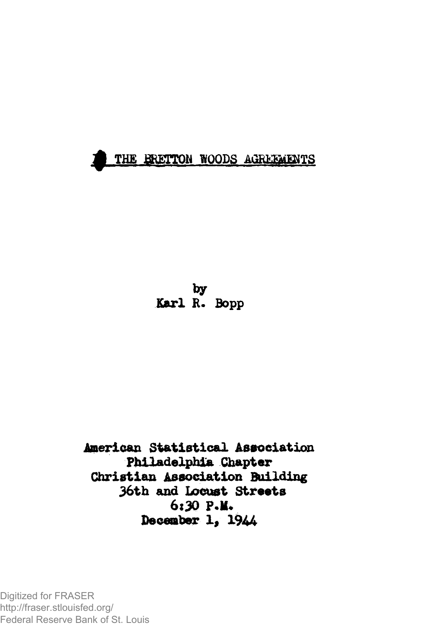

by Karl R. Bopp

American Statistical Association Philadelphia Chapter Christian Association Building 36th and Locust Streets 6:30 P.M. December 1, 1944

Digitized for FRASER http://fraser.stlouisfed.org/ Federal Reserve Bank of St. Louis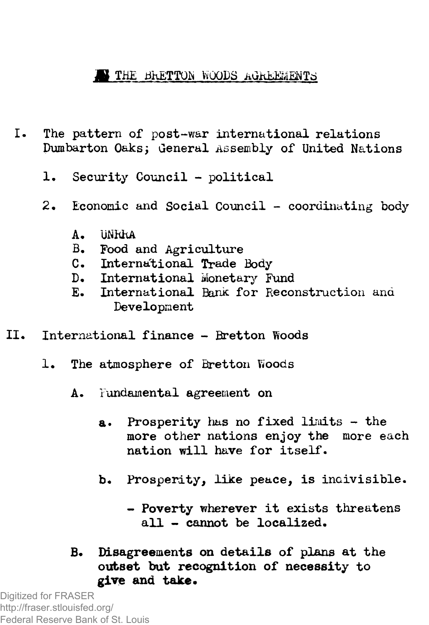## **M** THE BRETTON WOODS AGREEMENTS

- **I. The pattern of post-war international relations Dumbarton Oaks; General Assembly of United Nations**
	- **1« Security Council political**
	- **2. Economic and Social Council coordinating body**
		- **A.** UNKKA<br>**B.** Food
		- **B. Food and Agriculture**
		- **C. International Trade Body**
		- **D. International Monetary Fund**
		- **E. International** Bank **for Reconstruction and Development**
- II. International finance Bretton Woods
	- **1. The atmosphere of Bretton Woods**
		- **A. Fundamental agreement on**
			- **a. Prosperity has no fixed limits the more other nations enjoy the more each nation will have for itself.**
			- **b. Prosperity, like peace, is indivisible.**
				- **Poverty wherever it exists threatens all - cannot be localized.**
		- **8« Disagreements on details of plans at the outset but recognition of necessity to give and take.**

Digitized for FRASER http://fraser.stlouisfed.org/ Federal Reserve Bank of St. Louis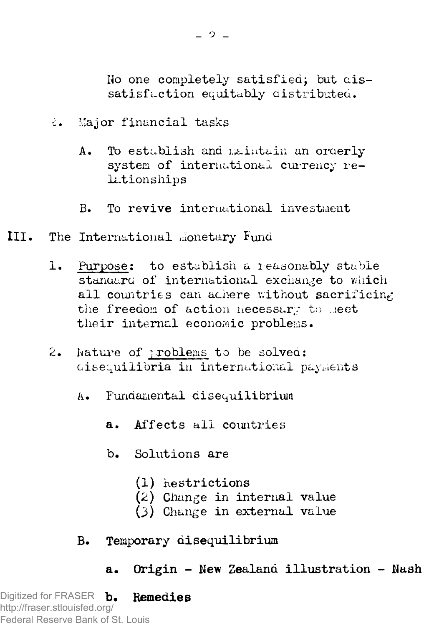**No one completely satisfied; but dissatisfaction equitably distributed.**

- **i. Major financial tasks**
	- **A. To establish and maintain an orderly system of international currency relationships**
	- **B. To revive international investment**
- **III. The International monetary Fund**
	- **1. Purpose: to establish a reasonably stable** standard of international exchange to which **all countries can adhere without sacrificing the freedom of action necessary** to **meet their internal economic problems.**
	- **2. Nature of ]roblems to be solved: disequilibria in international payments**
		- **A. Fundamental disequilibrium**
			- **a. Affects all countries**
			- **b. Solutions are**
				- **(1) Restrictions**
				- **(\*) Change in internal value**
				- *0 )* **Change in external value**
		- **B. Temporary disequilibrium**
			- **a. Origin New Zealand illustration Nash**

Digitized for FRASER **b. b. Remedies** http://fraser.stlouisfed.org/ Federal Reserve Bank of St. Louis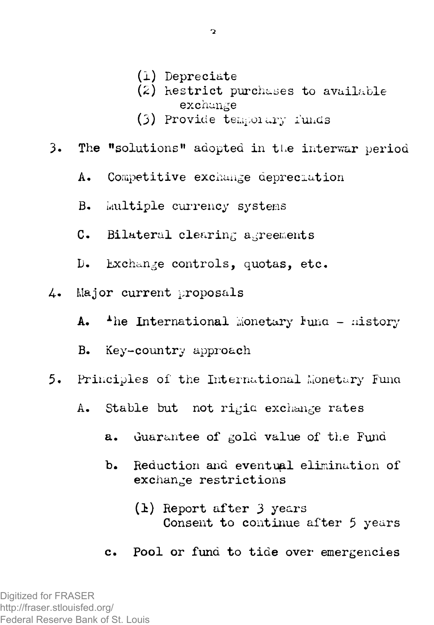$3.$ 

4.

- **c. Pool or fund to tide over emergencies**
- **(1) Report after 3 years Consent to continue after 5 years**
- a. Guarantee of gold value of the Fund

**b. Reduction and eventup.1 elimination of**

- 
- 
- **A. Stable but not rigid exchange rates**

**exchange restrictions**

5. Principles of the International Monetary Fund

**B. Key-country approach**

- **Major current proposals A. Ahe International Monetary tuna - nistory**
- **C. Bilateral clearing agreements**

D. **Exchange controls, quotas, etc.**

- **B. Multiple currency systems**
- A. **Competitive exchange depreciation**
- The "solutions" adopted in the interwar period
- 
- **(3) Provide tempoiary funds**
- **(2) Restrict purchases to available exchange**
- $\overline{2}$

(1) Depreciate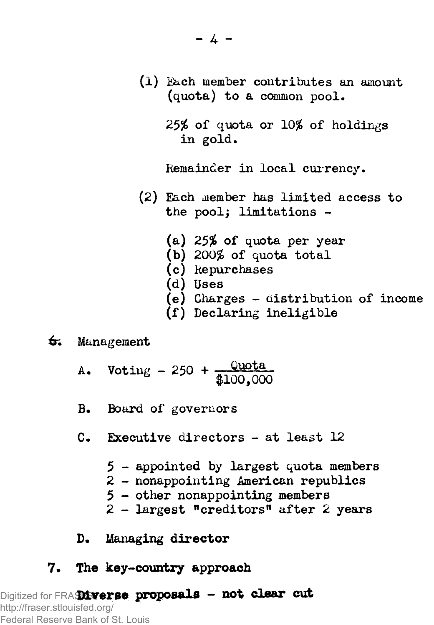**25% of quota or 10% of holdings in gold.**

**Remainder in local currency.**

- **(2) Each uiember has limited access to the pool; limitations -**
	- **(a) 25% of quota per year**
	- **(b) 200% of quota total**
	- **(c) Repurchases**
	- **(d) Uses**
	- **(e) Charges distribution of income**
	- **(f) Declaring ineligible**
- **6". Management**
	- A. Voting 250 +  $\frac{900 \text{ kg}}{100,000}$
	- **B. Board of governors**
	- **C. Executive directors at least 12**
		- **5 appointed by largest quota members**
		- **2 nonappointing American republics**
		- **5 other nonappointing members**
		- **2 largest "creditors" after 2 years**
	- **D. Managing director**

## **7. The key-country approach**

Digitized for FRA**Diverse proposals - not clear cut** http://fraser.stlouisfed.org/ Federal Reserve Bank of St. Louis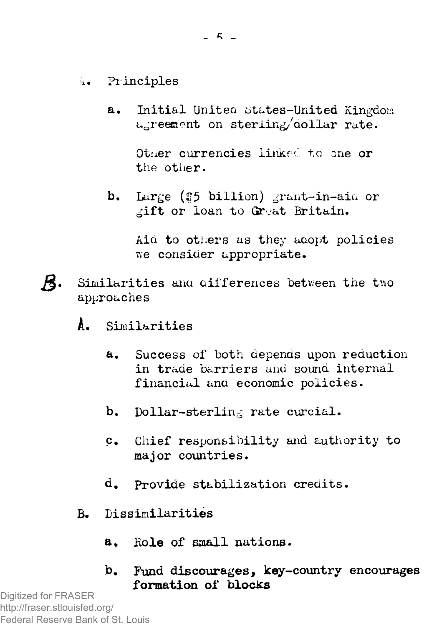- **Principles**
	- **a.** Initial United States-United Kingdom **agreement on steriin^/aollar rate.**

**Other currencies linked to one or the other.**

**b. Large (S5 billion) ¿rant-in-aia or ¿ift or loan to Gr-at Britain.**

> **Aid to others as they aaopt policies vie consiaer appropriate.**

- $\kappa$ . Similarities and differences between the two **'oaches**
	- À. **Similarities**
		- **a. Success of both depenas upon reduction in trade barriers and sound internal financial ana economic policies.**
		- **b. Dollar-sterling rate curcial.**
		- **c. Chief responsibility and authority to major countries.**
		- **d. Provide stabilization credits.**
	- **B. Dissimilarities**
		- **a. Hole of small nations.**
		- **b. Fund discourages, key-country encourages formation of blocks**

Digitized for FRASER http://fraser.stlouisfed.org/ Federal Reserve Bank of St. Louis